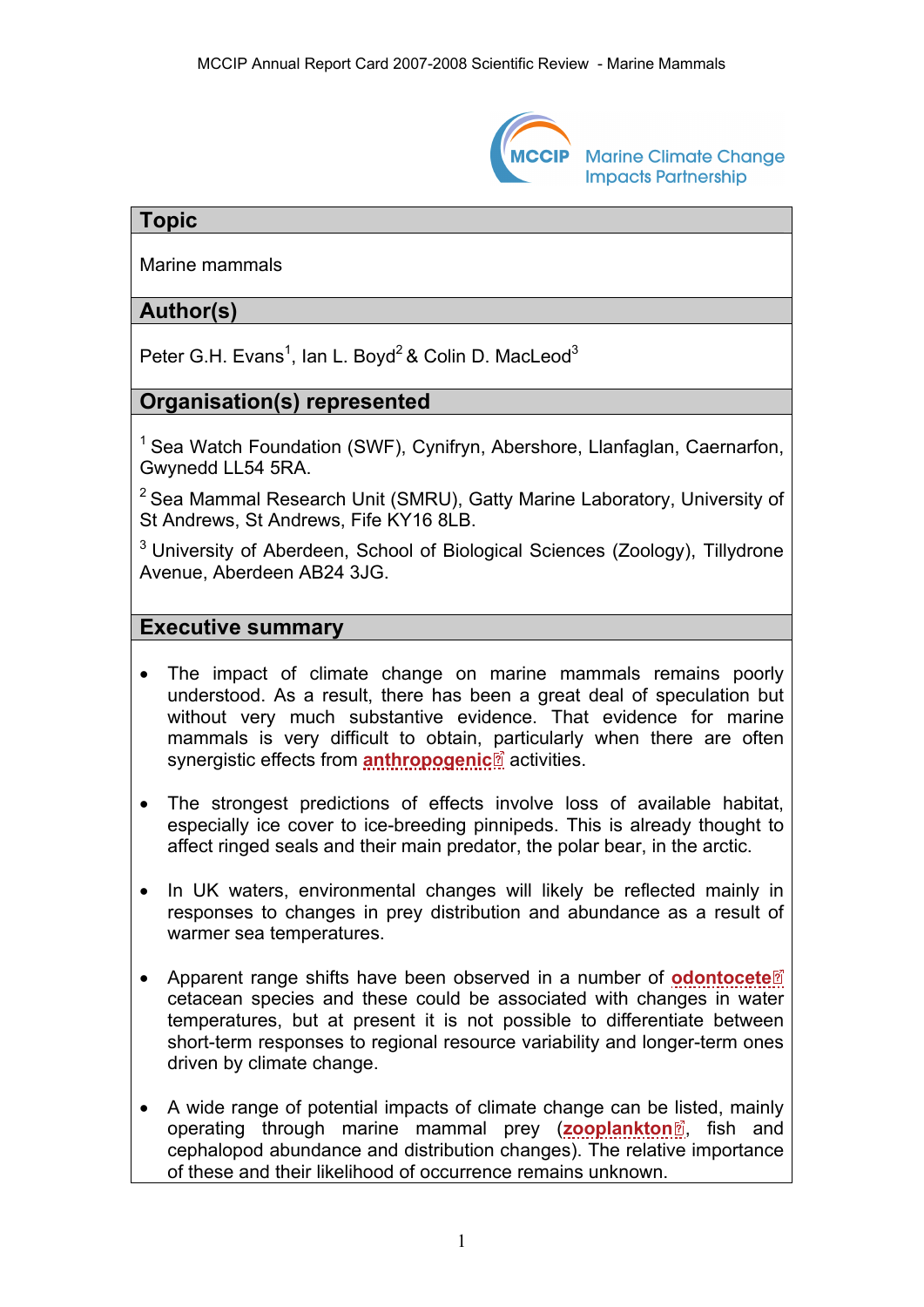

**Marine Climate Change Impacts Partnership** 

## **Topic**

Marine mammals

## **Author(s)**

Peter G.H. Evans<sup>1</sup>, Ian L. Boyd<sup>2</sup> & Colin D. MacLeod<sup>3</sup>

# **Organisation(s) represented**

<sup>1</sup> Sea Watch Foundation (SWF), Cynifryn, Abershore, Llanfaglan, Caernarfon, Gwynedd LL54 5RA.

 $2$  Sea Mammal Research Unit (SMRU), Gatty Marine Laboratory, University of St Andrews, St Andrews, Fife KY16 8LB.

<sup>3</sup> University of Aberdeen, School of Biological Sciences (Zoology), Tillydrone Avenue, Aberdeen AB24 3JG.

### **Executive summary**

- The impact of climate change on marine mammals remains poorly understood. As a result, there has been a great deal of speculation but without very much substantive evidence. That evidence for marine mammals is very difficult to obtain, [pa](http://www.mccip.org.uk/arc/2007/glossary.htm)rticularly when there are often synergistic effects from **[anthropogenic](http://www.mccip.org.uk/arc/2007/glossary.htm#Anthropogenic)**<sup>2</sup> activities.
- The strongest predictions of effects involve loss of available habitat, especially ice cover to ice-breeding pinnipeds. This is already thought to affect ringed seals and their main predator, the polar bear, in the arctic.
- In UK waters, environmental changes will likely be reflected mainly in responses to changes in prey distribution and abundance as a result of warmer sea temperatures.
- Apparent range shifts have been observed in a number of **[odontocete](http://www.mccip.org.uk/arc/2007/glossary.htm#Odontocete)** cetacean species and these could be associated with changes in water temperatures, but at present it is not possible to differentiate between short-term responses to regional resource variability and longer-term ones driven by climate change.
- A wide range of potential impacts of climate change can be [lis](http://www.mccip.org.uk/arc/2007/glossary.htm)ted, mainly operating through marine mammal prey (**[zooplankton](http://www.mccip.org.uk/arc/2007/glossary.htm#Zooplankton)**<sup>,</sup> fish and cephalopod abundance and distribution changes). The relative importance of these and their likelihood of occurrence remains unknown.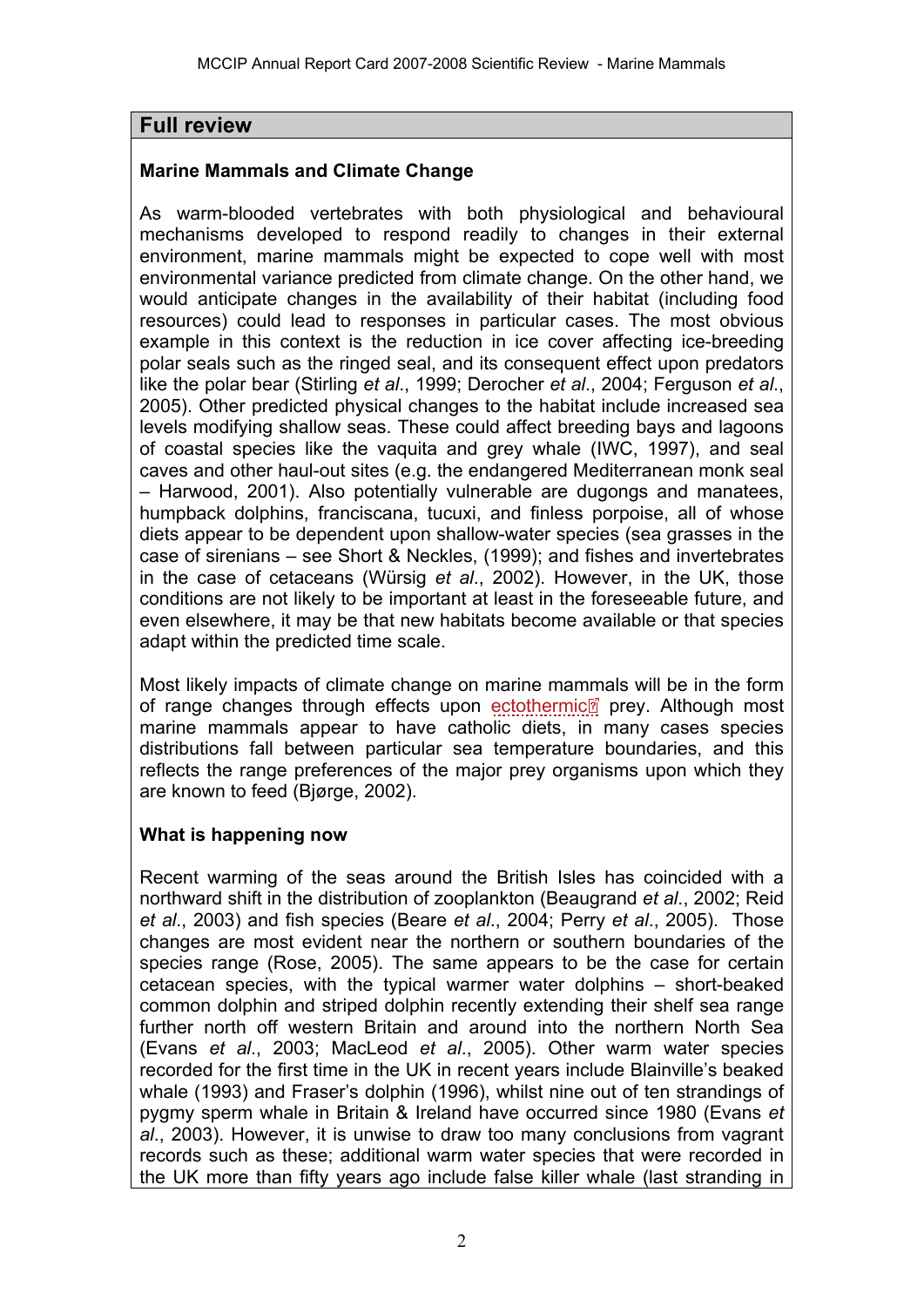## **Full review**

#### **Marine Mammals and Climate Change**

As warm-blooded vertebrates with both physiological and behavioural mechanisms developed to respond readily to changes in their external environment, marine mammals might be expected to cope well with most environmental variance predicted from climate change. On the other hand, we would anticipate changes in the availability of their habitat (including food resources) could lead to responses in particular cases. The most obvious example in this context is the reduction in ice cover affecting ice-breeding polar seals such as the ringed seal, and its consequent effect upon predators like the polar bear (Stirling *et al*., 1999; Derocher *et al*., 2004; Ferguson *et al*., 2005). Other predicted physical changes to the habitat include increased sea levels modifying shallow seas. These could affect breeding bays and lagoons of coastal species like the vaquita and grey whale (IWC, 1997), and seal caves and other haul-out sites (e.g. the endangered Mediterranean monk seal – Harwood, 2001). Also potentially vulnerable are dugongs and manatees, humpback dolphins, franciscana, tucuxi, and finless porpoise, all of whose diets appear to be dependent upon shallow-water species (sea grasses in the case of sirenians – see Short & Neckles, (1999); and fishes and invertebrates in the case of cetaceans (Würsig *et al*., 2002). However, in the UK, those conditions are not likely to be important at least in the foreseeable future, and even elsewhere, it may be that new habitats become available or that species adapt within the predicted time scale.

Most likely impacts of climate change on marine mammals will be in the form of range changes through effects upon [ectothermic](http://www.mccip.org.uk/arc/2007/glossary.htm#Ectothermic)<sup>o</sup>prey. Although most marine mammals appear to have catholic diets, in many cases species distributions fall between particular sea temperature boundaries, and this reflects the range preferences of the major prey organisms upon which they are known to feed (Bjørge, 2002).

## **What is happening now**

Recent warming of the seas around the British Isles has coincided with a northward shift in the distribution of zooplankton (Beaugrand *et al*., 2002; Reid *et al*., 2003) and fish species (Beare *et al*., 2004; Perry *et al*., 2005). Those changes are most evident near the northern or southern boundaries of the species range (Rose, 2005). The same appears to be the case for certain cetacean species, with the typical warmer water dolphins – short-beaked common dolphin and striped dolphin recently extending their shelf sea range further north off western Britain and around into the northern North Sea (Evans *et al*., 2003; MacLeod *et al*., 2005). Other warm water species recorded for the first time in the UK in recent years include Blainville's beaked whale (1993) and Fraser's dolphin (1996), whilst nine out of ten strandings of pygmy sperm whale in Britain & Ireland have occurred since 1980 (Evans *et al*., 2003). However, it is unwise to draw too many conclusions from vagrant records such as these; additional warm water species that were recorded in the UK more than fifty years ago include false killer whale (last stranding in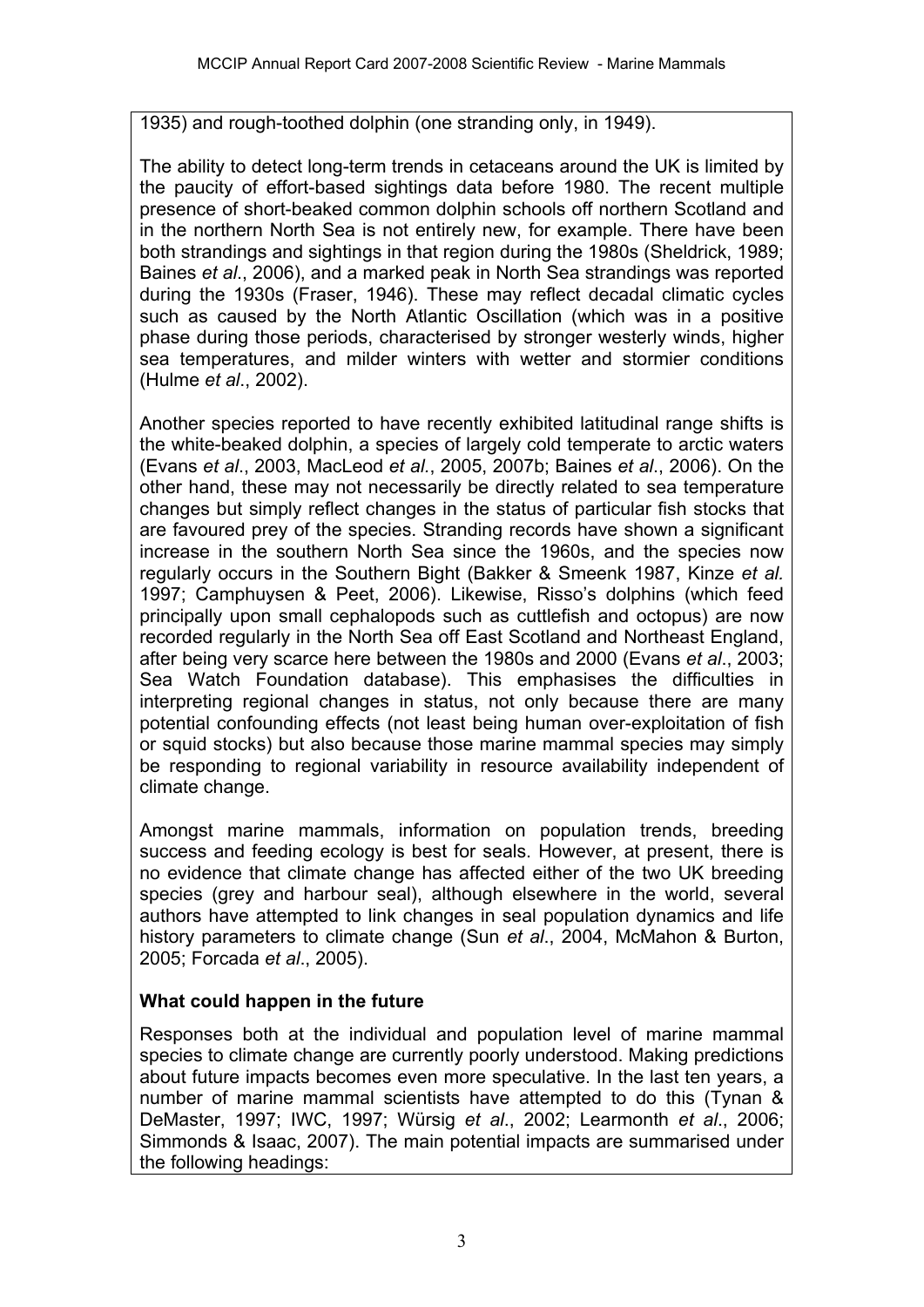1935) and rough-toothed dolphin (one stranding only, in 1949).

The ability to detect long-term trends in cetaceans around the UK is limited by the paucity of effort-based sightings data before 1980. The recent multiple presence of short-beaked common dolphin schools off northern Scotland and in the northern North Sea is not entirely new, for example. There have been both strandings and sightings in that region during the 1980s (Sheldrick, 1989; Baines *et al*., 2006), and a marked peak in North Sea strandings was reported during the 1930s (Fraser, 1946). These may reflect decadal climatic cycles such as caused by the North Atlantic Oscillation (which was in a positive phase during those periods, characterised by stronger westerly winds, higher sea temperatures, and milder winters with wetter and stormier conditions (Hulme *et al*., 2002).

Another species reported to have recently exhibited latitudinal range shifts is the white-beaked dolphin, a species of largely cold temperate to arctic waters (Evans *et al*., 2003, MacLeod *et al.*, 2005, 2007b; Baines *et al*., 2006). On the other hand, these may not necessarily be directly related to sea temperature changes but simply reflect changes in the status of particular fish stocks that are favoured prey of the species. Stranding records have shown a significant increase in the southern North Sea since the 1960s, and the species now regularly occurs in the Southern Bight (Bakker & Smeenk 1987, Kinze *et al.* 1997; Camphuysen & Peet, 2006). Likewise, Risso's dolphins (which feed principally upon small cephalopods such as cuttlefish and octopus) are now recorded regularly in the North Sea off East Scotland and Northeast England, after being very scarce here between the 1980s and 2000 (Evans *et al*., 2003; Sea Watch Foundation database). This emphasises the difficulties in interpreting regional changes in status, not only because there are many potential confounding effects (not least being human over-exploitation of fish or squid stocks) but also because those marine mammal species may simply be responding to regional variability in resource availability independent of climate change.

Amongst marine mammals, information on population trends, breeding success and feeding ecology is best for seals. However, at present, there is no evidence that climate change has affected either of the two UK breeding species (grey and harbour seal), although elsewhere in the world, several authors have attempted to link changes in seal population dynamics and life history parameters to climate change (Sun *et al*., 2004, McMahon & Burton, 2005; Forcada *et al*., 2005).

#### **What could happen in the future**

Responses both at the individual and population level of marine mammal species to climate change are currently poorly understood. Making predictions about future impacts becomes even more speculative. In the last ten years, a number of marine mammal scientists have attempted to do this (Tynan & DeMaster, 1997; IWC, 1997; Würsig *et al*., 2002; Learmonth *et al*., 2006; Simmonds & Isaac, 2007). The main potential impacts are summarised under the following headings: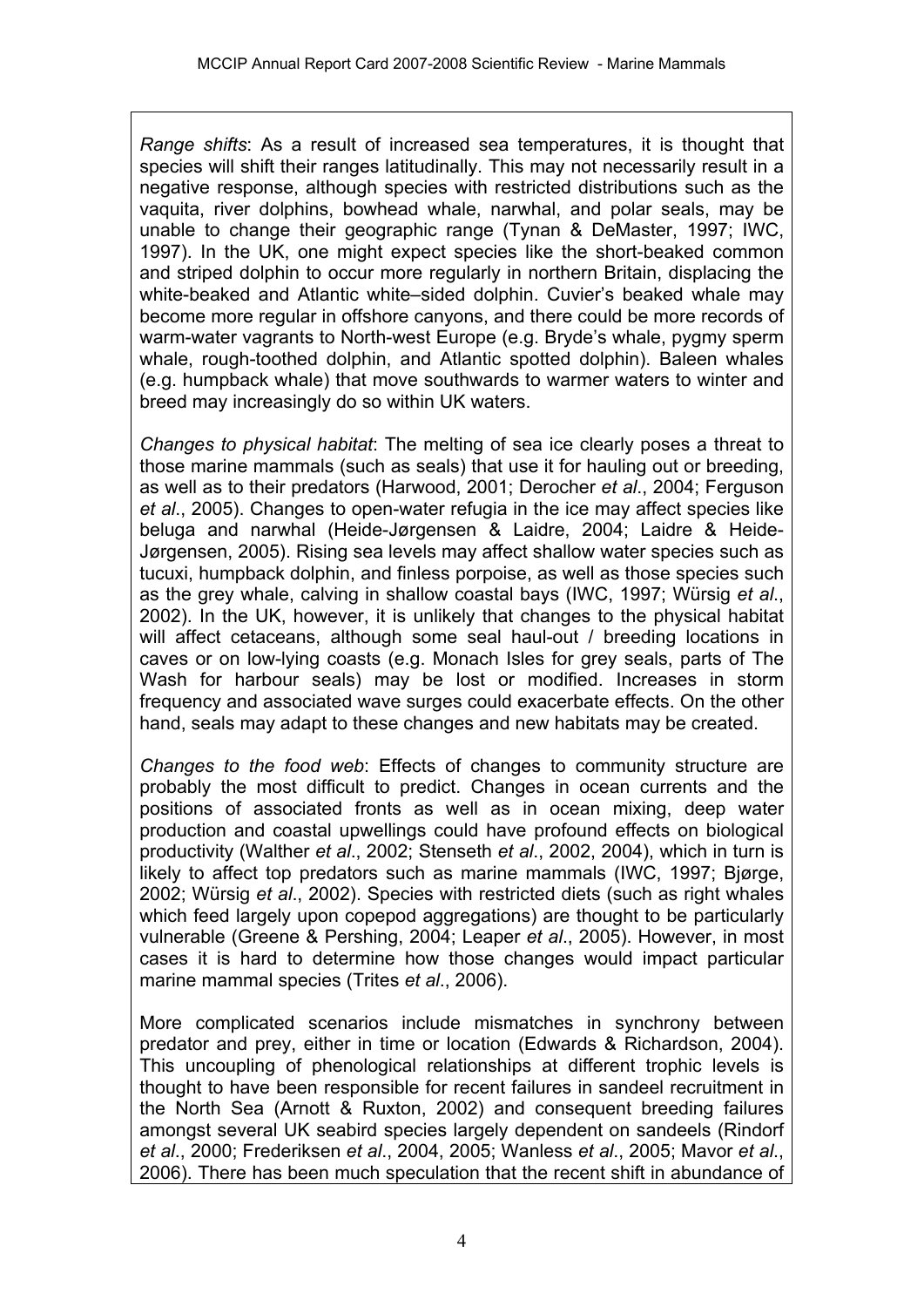*Range shifts*: As a result of increased sea temperatures, it is thought that species will shift their ranges latitudinally. This may not necessarily result in a negative response, although species with restricted distributions such as the vaquita, river dolphins, bowhead whale, narwhal, and polar seals, may be unable to change their geographic range (Tynan & DeMaster, 1997; IWC, 1997). In the UK, one might expect species like the short-beaked common and striped dolphin to occur more regularly in northern Britain, displacing the white-beaked and Atlantic white–sided dolphin. Cuvier's beaked whale may become more regular in offshore canyons, and there could be more records of warm-water vagrants to North-west Europe (e.g. Bryde's whale, pygmy sperm whale, rough-toothed dolphin, and Atlantic spotted dolphin). Baleen whales (e.g. humpback whale) that move southwards to warmer waters to winter and breed may increasingly do so within UK waters.

*Changes to physical habitat*: The melting of sea ice clearly poses a threat to those marine mammals (such as seals) that use it for hauling out or breeding, as well as to their predators (Harwood, 2001; Derocher *et al*., 2004; Ferguson *et al*., 2005). Changes to open-water refugia in the ice may affect species like beluga and narwhal (Heide-Jørgensen & Laidre, 2004; Laidre & Heide-Jørgensen, 2005). Rising sea levels may affect shallow water species such as tucuxi, humpback dolphin, and finless porpoise, as well as those species such as the grey whale, calving in shallow coastal bays (IWC, 1997; Würsig *et al*., 2002). In the UK, however, it is unlikely that changes to the physical habitat will affect cetaceans, although some seal haul-out / breeding locations in caves or on low-lying coasts (e.g. Monach Isles for grey seals, parts of The Wash for harbour seals) may be lost or modified. Increases in storm frequency and associated wave surges could exacerbate effects. On the other hand, seals may adapt to these changes and new habitats may be created.

*Changes to the food web*: Effects of changes to community structure are probably the most difficult to predict. Changes in ocean currents and the positions of associated fronts as well as in ocean mixing, deep water production and coastal upwellings could have profound effects on biological productivity (Walther *et al*., 2002; Stenseth *et al*., 2002, 2004), which in turn is likely to affect top predators such as marine mammals (IWC, 1997; Bjørge, 2002; Würsig *et al*., 2002). Species with restricted diets (such as right whales which feed largely upon copepod aggregations) are thought to be particularly vulnerable (Greene & Pershing, 2004; Leaper *et al*., 2005). However, in most cases it is hard to determine how those changes would impact particular marine mammal species (Trites *et al*., 2006).

More complicated scenarios include mismatches in synchrony between predator and prey, either in time or location (Edwards & Richardson, 2004). This uncoupling of phenological relationships at different trophic levels is thought to have been responsible for recent failures in sandeel recruitment in the North Sea (Arnott & Ruxton, 2002) and consequent breeding failures amongst several UK seabird species largely dependent on sandeels (Rindorf *et al*., 2000; Frederiksen *et al*., 2004, 2005; Wanless *et al*., 2005; Mavor *et al*., 2006). There has been much speculation that the recent shift in abundance of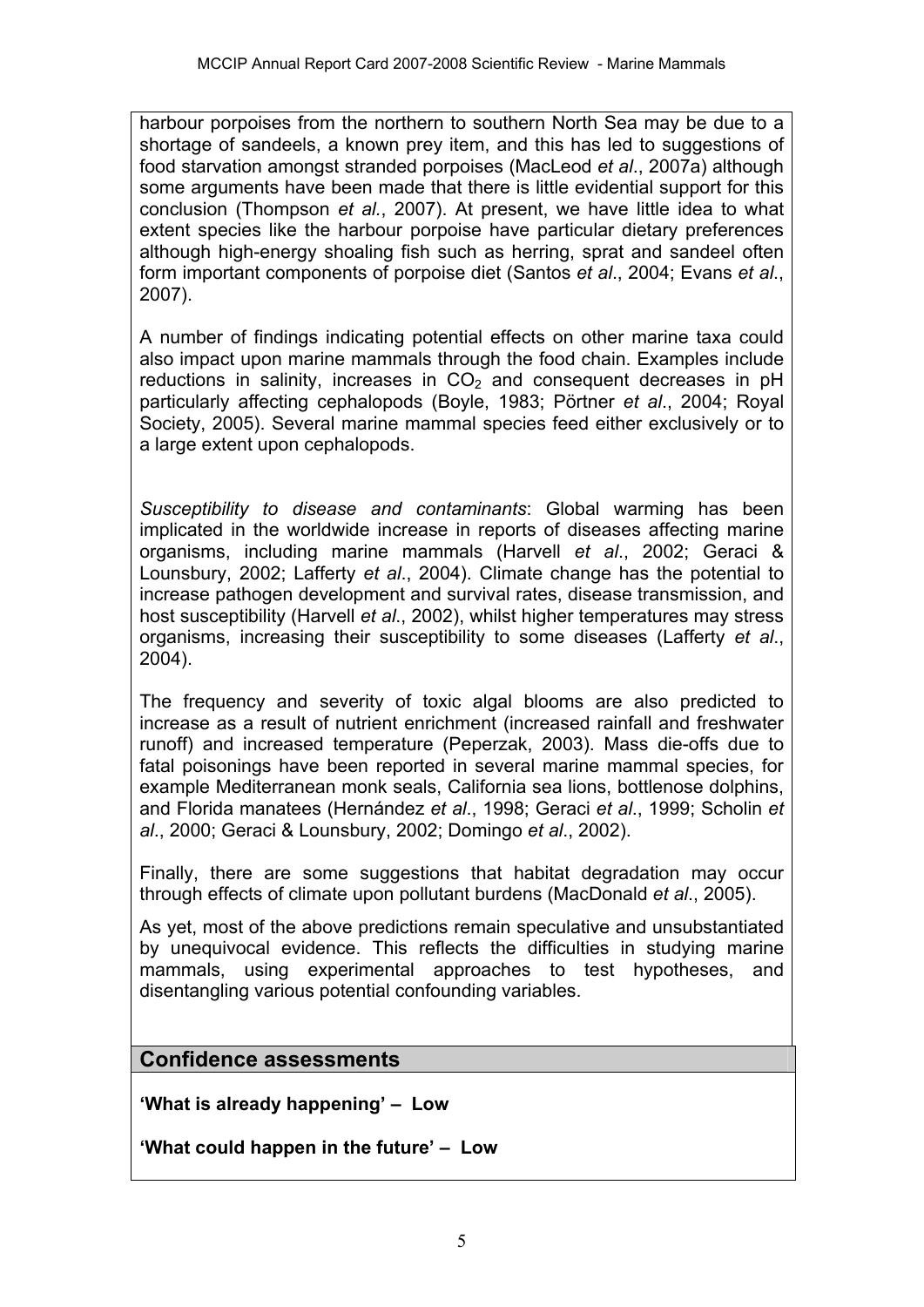harbour porpoises from the northern to southern North Sea may be due to a shortage of sandeels, a known prey item, and this has led to suggestions of food starvation amongst stranded porpoises (MacLeod *et al*., 2007a) although some arguments have been made that there is little evidential support for this conclusion (Thompson *et al.*, 2007). At present, we have little idea to what extent species like the harbour porpoise have particular dietary preferences although high-energy shoaling fish such as herring, sprat and sandeel often form important components of porpoise diet (Santos *et al*., 2004; Evans *et al*., 2007).

A number of findings indicating potential effects on other marine taxa could also impact upon marine mammals through the food chain. Examples include reductions in salinity, increases in  $CO<sub>2</sub>$  and consequent decreases in pH particularly affecting cephalopods (Boyle, 1983; Pörtner *et al*., 2004; Royal Society, 2005). Several marine mammal species feed either exclusively or to a large extent upon cephalopods.

*Susceptibility to disease and contaminants*: Global warming has been implicated in the worldwide increase in reports of diseases affecting marine organisms, including marine mammals (Harvell *et al*., 2002; Geraci & Lounsbury, 2002; Lafferty *et al*., 2004). Climate change has the potential to increase pathogen development and survival rates, disease transmission, and host susceptibility (Harvell *et al*., 2002), whilst higher temperatures may stress organisms, increasing their susceptibility to some diseases (Lafferty *et al*., 2004).

The frequency and severity of toxic algal blooms are also predicted to increase as a result of nutrient enrichment (increased rainfall and freshwater runoff) and increased temperature (Peperzak, 2003). Mass die-offs due to fatal poisonings have been reported in several marine mammal species, for example Mediterranean monk seals, California sea lions, bottlenose dolphins, and Florida manatees (Hernández *et al*., 1998; Geraci *et al*., 1999; Scholin *et al*., 2000; Geraci & Lounsbury, 2002; Domingo *et al*., 2002).

Finally, there are some suggestions that habitat degradation may occur through effects of climate upon pollutant burdens (MacDonald *et al*., 2005).

As yet, most of the above predictions remain speculative and unsubstantiated by unequivocal evidence. This reflects the difficulties in studying marine mammals, using experimental approaches to test hypotheses, and disentangling various potential confounding variables.

## **Confidence assessments**

**'What is already happening' – Low** 

**'What could happen in the future' – Low**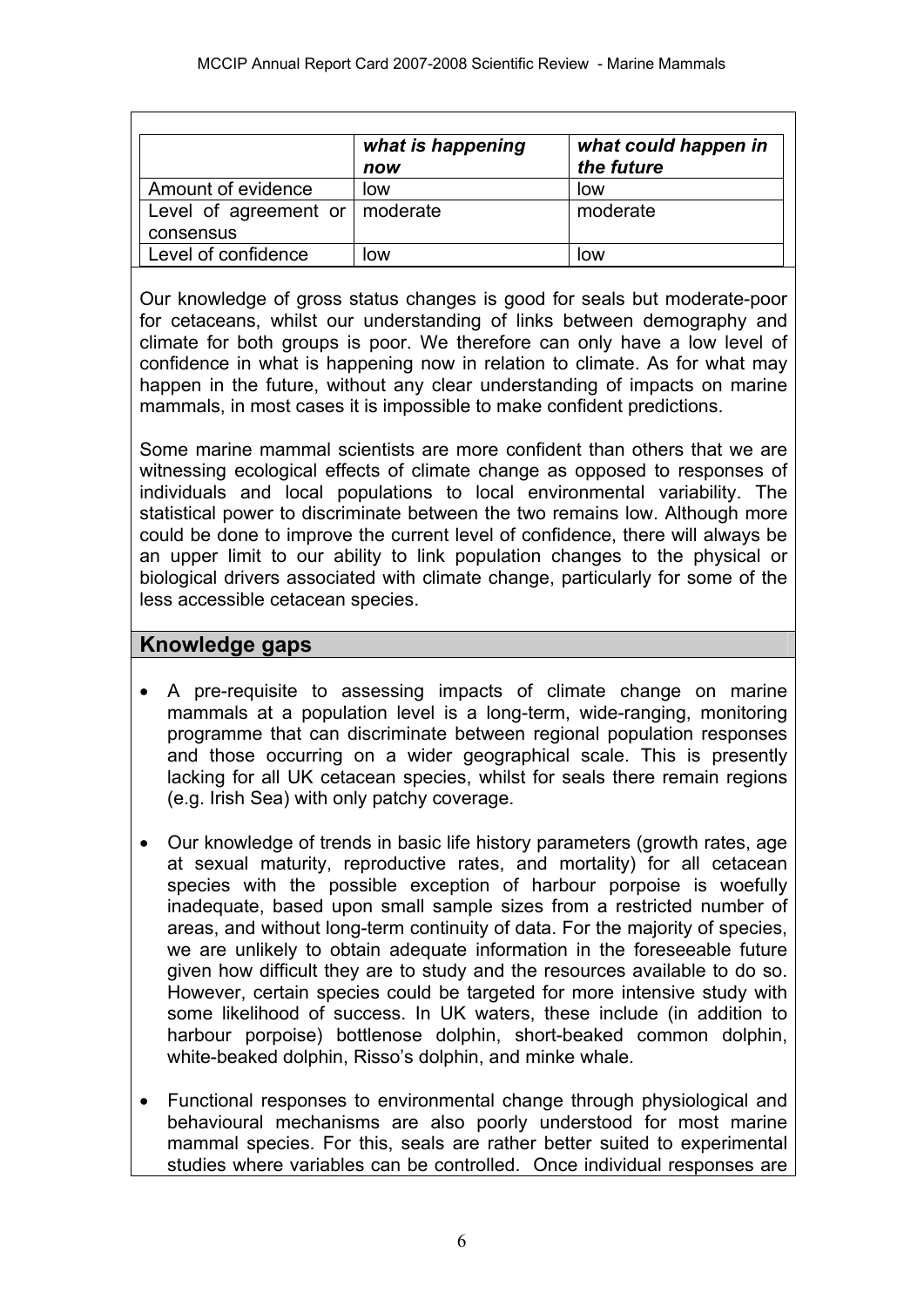|                                    | what is happening<br>now | what could happen in<br>the future |
|------------------------------------|--------------------------|------------------------------------|
| Amount of evidence                 | low                      | low                                |
| Level of agreement or $ $ moderate |                          | moderate                           |
| consensus                          |                          |                                    |
| Level of confidence                | IOW                      | low                                |

Our knowledge of gross status changes is good for seals but moderate-poor for cetaceans, whilst our understanding of links between demography and climate for both groups is poor. We therefore can only have a low level of confidence in what is happening now in relation to climate. As for what may happen in the future, without any clear understanding of impacts on marine mammals, in most cases it is impossible to make confident predictions.

Some marine mammal scientists are more confident than others that we are witnessing ecological effects of climate change as opposed to responses of individuals and local populations to local environmental variability. The statistical power to discriminate between the two remains low. Although more could be done to improve the current level of confidence, there will always be an upper limit to our ability to link population changes to the physical or biological drivers associated with climate change, particularly for some of the less accessible cetacean species.

### **Knowledge gaps**

- A pre-requisite to assessing impacts of climate change on marine mammals at a population level is a long-term, wide-ranging, monitoring programme that can discriminate between regional population responses and those occurring on a wider geographical scale. This is presently lacking for all UK cetacean species, whilst for seals there remain regions (e.g. Irish Sea) with only patchy coverage.
- Our knowledge of trends in basic life history parameters (growth rates, age at sexual maturity, reproductive rates, and mortality) for all cetacean species with the possible exception of harbour porpoise is woefully inadequate, based upon small sample sizes from a restricted number of areas, and without long-term continuity of data. For the majority of species, we are unlikely to obtain adequate information in the foreseeable future given how difficult they are to study and the resources available to do so. However, certain species could be targeted for more intensive study with some likelihood of success. In UK waters, these include (in addition to harbour porpoise) bottlenose dolphin, short-beaked common dolphin, white-beaked dolphin, Risso's dolphin, and minke whale.
- Functional responses to environmental change through physiological and behavioural mechanisms are also poorly understood for most marine mammal species. For this, seals are rather better suited to experimental studies where variables can be controlled. Once individual responses are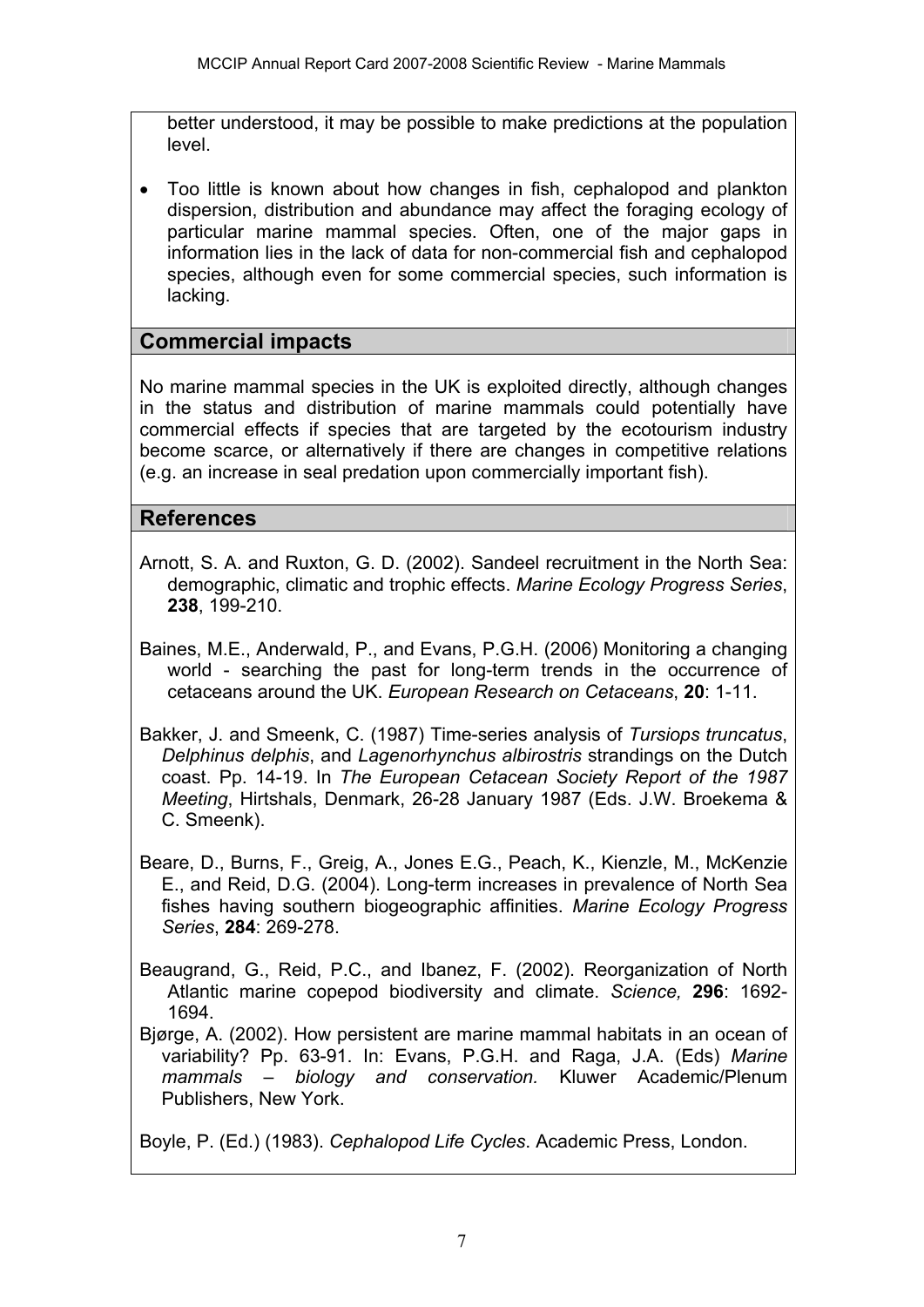better understood, it may be possible to make predictions at the population level.

• Too little is known about how changes in fish, cephalopod and plankton dispersion, distribution and abundance may affect the foraging ecology of particular marine mammal species. Often, one of the major gaps in information lies in the lack of data for non-commercial fish and cephalopod species, although even for some commercial species, such information is lacking.

### **Commercial impacts**

No marine mammal species in the UK is exploited directly, although changes in the status and distribution of marine mammals could potentially have commercial effects if species that are targeted by the ecotourism industry become scarce, or alternatively if there are changes in competitive relations (e.g. an increase in seal predation upon commercially important fish).

### **References**

- Arnott, S. A. and Ruxton, G. D. (2002). Sandeel recruitment in the North Sea: demographic, climatic and trophic effects. *Marine Ecology Progress Series*, **238**, 199-210.
- Baines, M.E., Anderwald, P., and Evans, P.G.H. (2006) Monitoring a changing world - searching the past for long-term trends in the occurrence of cetaceans around the UK. *European Research on Cetaceans*, **20**: 1-11.
- Bakker, J. and Smeenk, C. (1987) Time-series analysis of *Tursiops truncatus*, *Delphinus delphis*, and *Lagenorhynchus albirostris* strandings on the Dutch coast. Pp. 14-19. In *The European Cetacean Society Report of the 1987 Meeting*, Hirtshals, Denmark, 26-28 January 1987 (Eds. J.W. Broekema & C. Smeenk).
- Beare, D., Burns, F., Greig, A., Jones E.G., Peach, K., Kienzle, M., McKenzie E., and Reid, D.G. (2004). Long-term increases in prevalence of North Sea fishes having southern biogeographic affinities. *Marine Ecology Progress Series*, **284**: 269-278.
- Beaugrand, G., Reid, P.C., and Ibanez, F. (2002). Reorganization of North Atlantic marine copepod biodiversity and climate. *Science,* **296**: 1692- 1694.
- Bjørge, A. (2002). How persistent are marine mammal habitats in an ocean of variability? Pp. 63-91. In: Evans, P.G.H. and Raga, J.A. (Eds) *Marine mammals – biology and conservation.* Kluwer Academic/Plenum Publishers, New York.

Boyle, P. (Ed.) (1983). *Cephalopod Life Cycles*. Academic Press, London.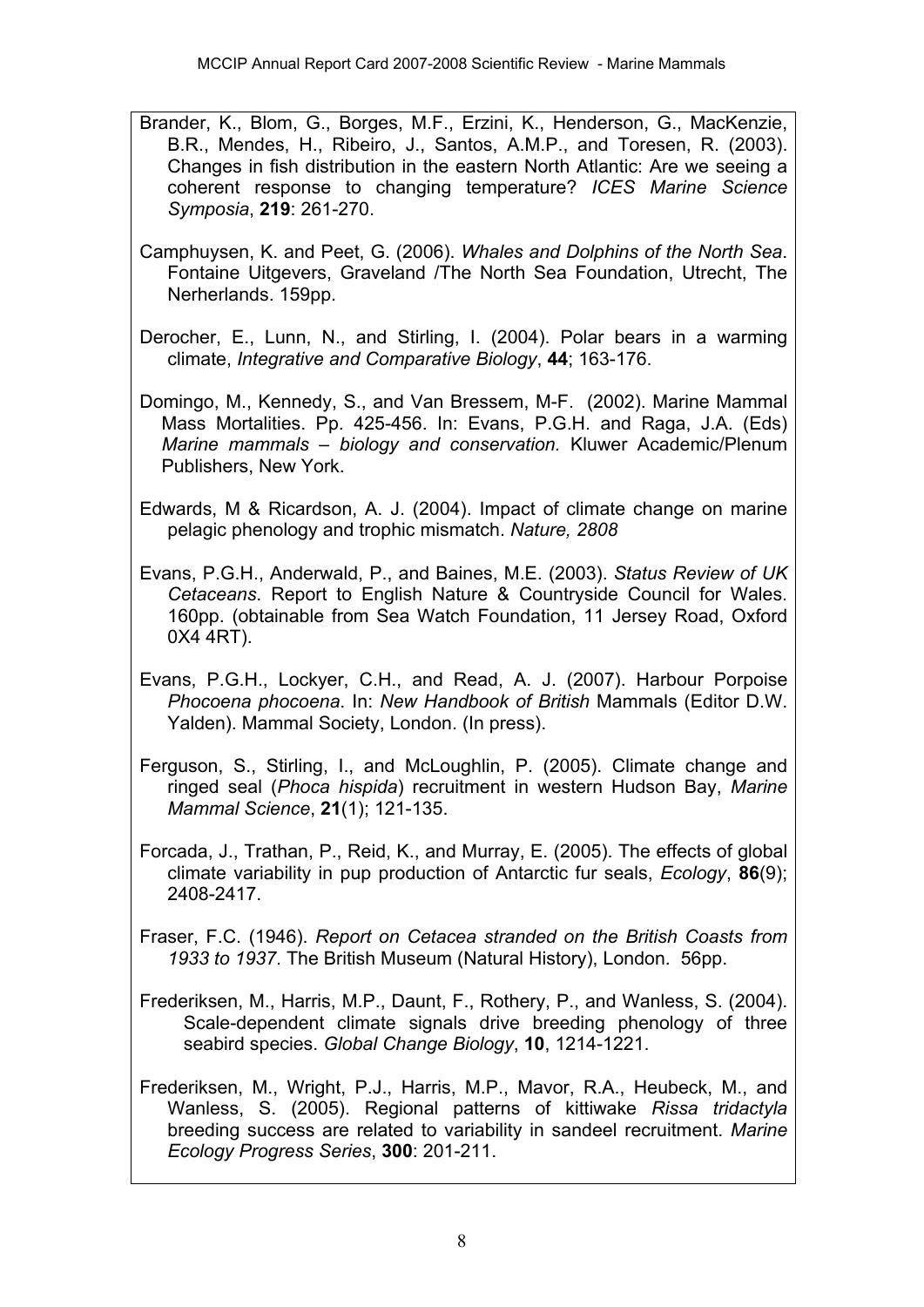- Brander, K., Blom, G., Borges, M.F., Erzini, K., Henderson, G., MacKenzie, B.R., Mendes, H., Ribeiro, J., Santos, A.M.P., and Toresen, R. (2003). Changes in fish distribution in the eastern North Atlantic: Are we seeing a coherent response to changing temperature? *ICES Marine Science Symposia*, **219**: 261-270.
- Camphuysen, K. and Peet, G. (2006). *Whales and Dolphins of the North Sea*. Fontaine Uitgevers, Graveland /The North Sea Foundation, Utrecht, The Nerherlands. 159pp.
- Derocher, E., Lunn, N., and Stirling, I. (2004). Polar bears in a warming climate, *Integrative and Comparative Biology*, **44**; 163-176.
- Domingo, M., Kennedy, S., and Van Bressem, M-F. (2002). Marine Mammal Mass Mortalities. Pp. 425-456. In: Evans, P.G.H. and Raga, J.A. (Eds) *Marine mammals – biology and conservation.* Kluwer Academic/Plenum Publishers, New York.
- Edwards, M & Ricardson, A. J. (2004). Impact of climate change on marine pelagic phenology and trophic mismatch. *Nature, 2808*
- Evans, P.G.H., Anderwald, P., and Baines, M.E. (2003). *Status Review of UK Cetaceans*. Report to English Nature & Countryside Council for Wales. 160pp. (obtainable from Sea Watch Foundation, 11 Jersey Road, Oxford 0X4 4RT).
- Evans, P.G.H., Lockyer, C.H., and Read, A. J. (2007). Harbour Porpoise *Phocoena phocoena*. In: *New Handbook of British* Mammals (Editor D.W. Yalden). Mammal Society, London. (In press).
- Ferguson, S., Stirling, I., and McLoughlin, P. (2005). Climate change and ringed seal (*Phoca hispida*) recruitment in western Hudson Bay, *Marine Mammal Science*, **21**(1); 121-135.
- Forcada, J., Trathan, P., Reid, K., and Murray, E. (2005). The effects of global climate variability in pup production of Antarctic fur seals, *Ecology*, **86**(9); 2408-2417.
- Fraser, F.C. (1946). *Report on Cetacea stranded on the British Coasts from 1933 to 1937*. The British Museum (Natural History), London. 56pp.
- Frederiksen, M., Harris, M.P., Daunt, F., Rothery, P., and Wanless, S. (2004). Scale-dependent climate signals drive breeding phenology of three seabird species. *Global Change Biology*, **10**, 1214-1221.
- Frederiksen, M., Wright, P.J., Harris, M.P., Mavor, R.A., Heubeck, M., and Wanless, S. (2005). Regional patterns of kittiwake *Rissa tridactyla* breeding success are related to variability in sandeel recruitment. *Marine Ecology Progress Series*, **300**: 201-211.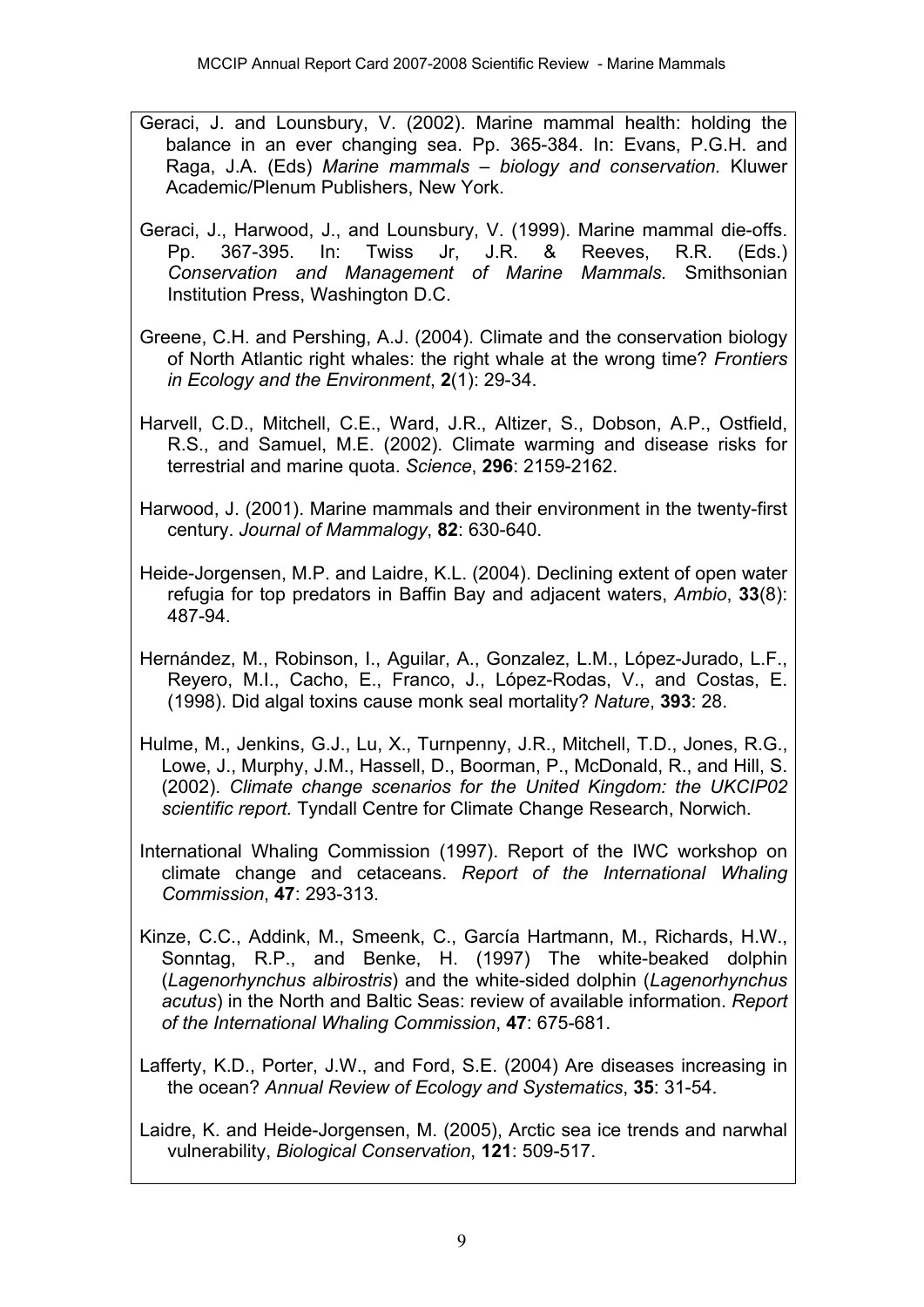- Geraci, J. and Lounsbury, V. (2002). Marine mammal health: holding the balance in an ever changing sea. Pp. 365-384. In: Evans, P.G.H. and Raga, J.A. (Eds) *Marine mammals – biology and conservation.* Kluwer Academic/Plenum Publishers, New York.
- Geraci, J., Harwood, J., and Lounsbury, V. (1999). Marine mammal die-offs. Pp. 367-395. In: Twiss Jr, J.R. & Reeves, R.R. (Eds.) *Conservation and Management of Marine Mammals.* Smithsonian Institution Press, Washington D.C.
- Greene, C.H. and Pershing, A.J. (2004). Climate and the conservation biology of North Atlantic right whales: the right whale at the wrong time? *Frontiers in Ecology and the Environment*, **2**(1): 29-34.
- Harvell, C.D., Mitchell, C.E., Ward, J.R., Altizer, S., Dobson, A.P., Ostfield, R.S., and Samuel, M.E. (2002). Climate warming and disease risks for terrestrial and marine quota. *Science*, **296**: 2159-2162.
- Harwood, J. (2001). Marine mammals and their environment in the twenty-first century. *Journal of Mammalogy*, **82**: 630-640.
- Heide-Jorgensen, M.P. and Laidre, K.L. (2004). Declining extent of open water refugia for top predators in Baffin Bay and adjacent waters, *Ambio*, **33**(8): 487-94.
- Hernández, M., Robinson, I., Aguilar, A., Gonzalez, L.M., López-Jurado, L.F., Reyero, M.I., Cacho, E., Franco, J., López-Rodas, V., and Costas, E. (1998). Did algal toxins cause monk seal mortality? *Nature*, **393**: 28.
- Hulme, M., Jenkins, G.J., Lu, X., Turnpenny, J.R., Mitchell, T.D., Jones, R.G., Lowe, J., Murphy, J.M., Hassell, D., Boorman, P., McDonald, R., and Hill, S. (2002). *Climate change scenarios for the United Kingdom: the UKCIP02 scientific report.* Tyndall Centre for Climate Change Research, Norwich.
- International Whaling Commission (1997). Report of the IWC workshop on climate change and cetaceans. *Report of the International Whaling Commission*, **47**: 293-313.
- Kinze, C.C., Addink, M., Smeenk, C., García Hartmann, M., Richards, H.W., Sonntag, R.P., and Benke, H. (1997) The white-beaked dolphin (*Lagenorhynchus albirostris*) and the white-sided dolphin (*Lagenorhynchus acutus*) in the North and Baltic Seas: review of available information. *Report of the International Whaling Commission*, **47**: 675-681.
- Lafferty, K.D., Porter, J.W., and Ford, S.E. (2004) Are diseases increasing in the ocean? *Annual Review of Ecology and Systematics*, **35**: 31-54.
- Laidre, K. and Heide-Jorgensen, M. (2005), Arctic sea ice trends and narwhal vulnerability, *Biological Conservation*, **121**: 509-517.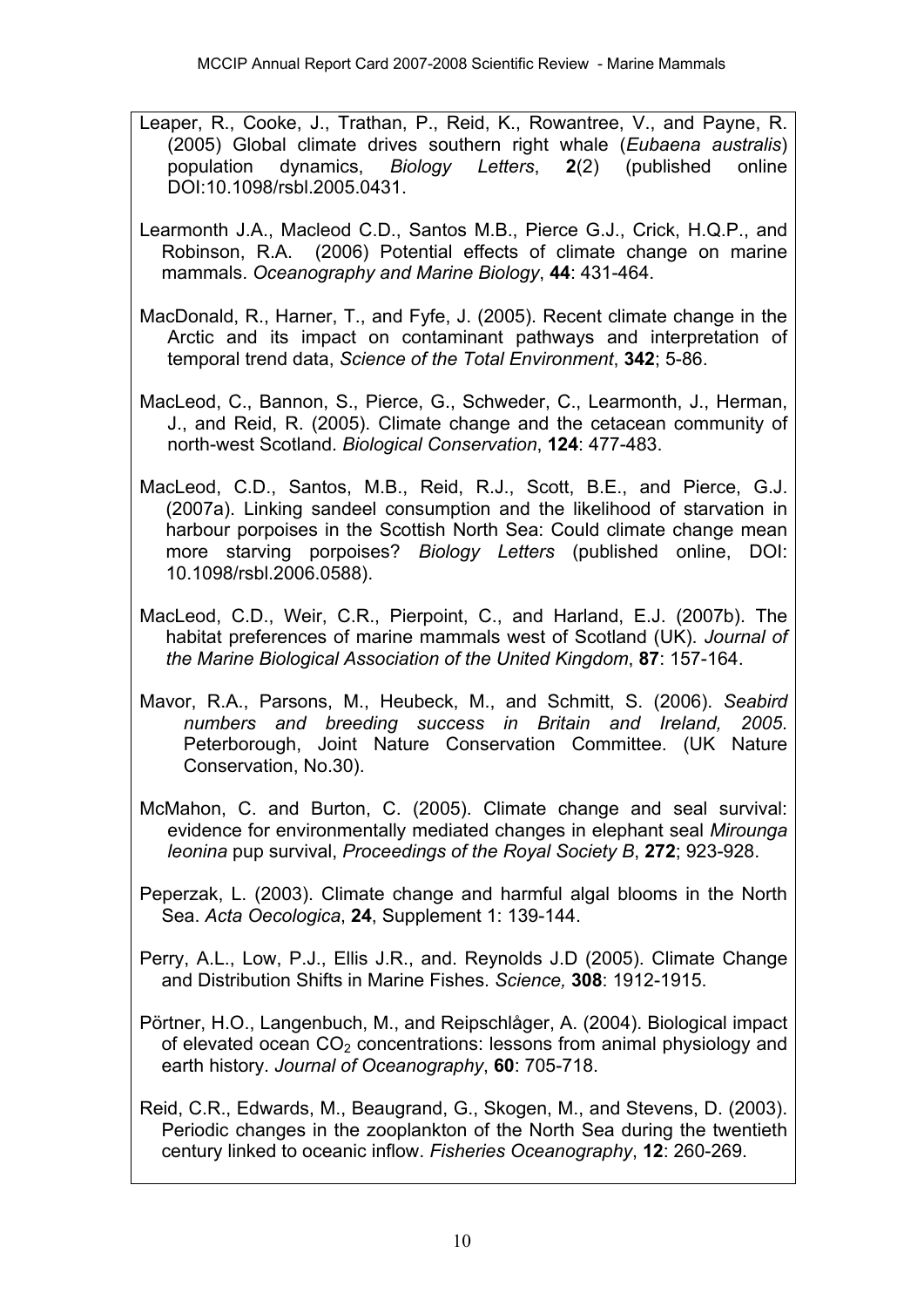- Leaper, R., Cooke, J., Trathan, P., Reid, K., Rowantree, V., and Payne, R. (2005) Global climate drives southern right whale (*Eubaena australis*) population dynamics, *Biology Letters*, **2**(2) (published online DOI:10.1098/rsbl.2005.0431.
- Learmonth J.A., Macleod C.D., Santos M.B., Pierce G.J., Crick, H.Q.P., and Robinson, R.A. (2006) Potential effects of climate change on marine mammals. *Oceanography and Marine Biology*, **44**: 431-464.
- MacDonald, R., Harner, T., and Fyfe, J. (2005). Recent climate change in the Arctic and its impact on contaminant pathways and interpretation of temporal trend data, *Science of the Total Environment*, **342**; 5-86.
- MacLeod, C., Bannon, S., Pierce, G., Schweder, C., Learmonth, J., Herman, J., and Reid, R. (2005). Climate change and the cetacean community of north-west Scotland. *Biological Conservation*, **124**: 477-483.
- MacLeod, C.D., Santos, M.B., Reid, R.J., Scott, B.E., and Pierce, G.J. (2007a). Linking sandeel consumption and the likelihood of starvation in harbour porpoises in the Scottish North Sea: Could climate change mean more starving porpoises? *Biology Letters* (published online, DOI: 10.1098/rsbl.2006.0588).
- MacLeod, C.D., Weir, C.R., Pierpoint, C., and Harland, E.J. (2007b). The habitat preferences of marine mammals west of Scotland (UK). *Journal of the Marine Biological Association of the United Kingdom*, **87**: 157-164.
- Mavor, R.A., Parsons, M., Heubeck, M., and Schmitt, S. (2006). *Seabird numbers and breeding success in Britain and Ireland, 2005*. Peterborough, Joint Nature Conservation Committee. (UK Nature Conservation, No.30).
- McMahon, C. and Burton, C. (2005). Climate change and seal survival: evidence for environmentally mediated changes in elephant seal *Mirounga leonina* pup survival, *Proceedings of the Royal Society B*, **272**; 923-928.
- Peperzak, L. (2003). Climate change and harmful algal blooms in the North Sea. *Acta Oecologica*, **24**, Supplement 1: 139-144.
- Perry, A.L., Low, P.J., Ellis J.R., and. Reynolds J.D (2005). Climate Change and Distribution Shifts in Marine Fishes. *Science,* **308**: 1912-1915.
- Pörtner, H.O., Langenbuch, M., and Reipschlåger, A. (2004). Biological impact of elevated ocean  $CO<sub>2</sub>$  concentrations: lessons from animal physiology and earth history. *Journal of Oceanography*, **60**: 705-718.
- Reid, C.R., Edwards, M., Beaugrand, G., Skogen, M., and Stevens, D. (2003). Periodic changes in the zooplankton of the North Sea during the twentieth century linked to oceanic inflow. *Fisheries Oceanography*, **12**: 260-269.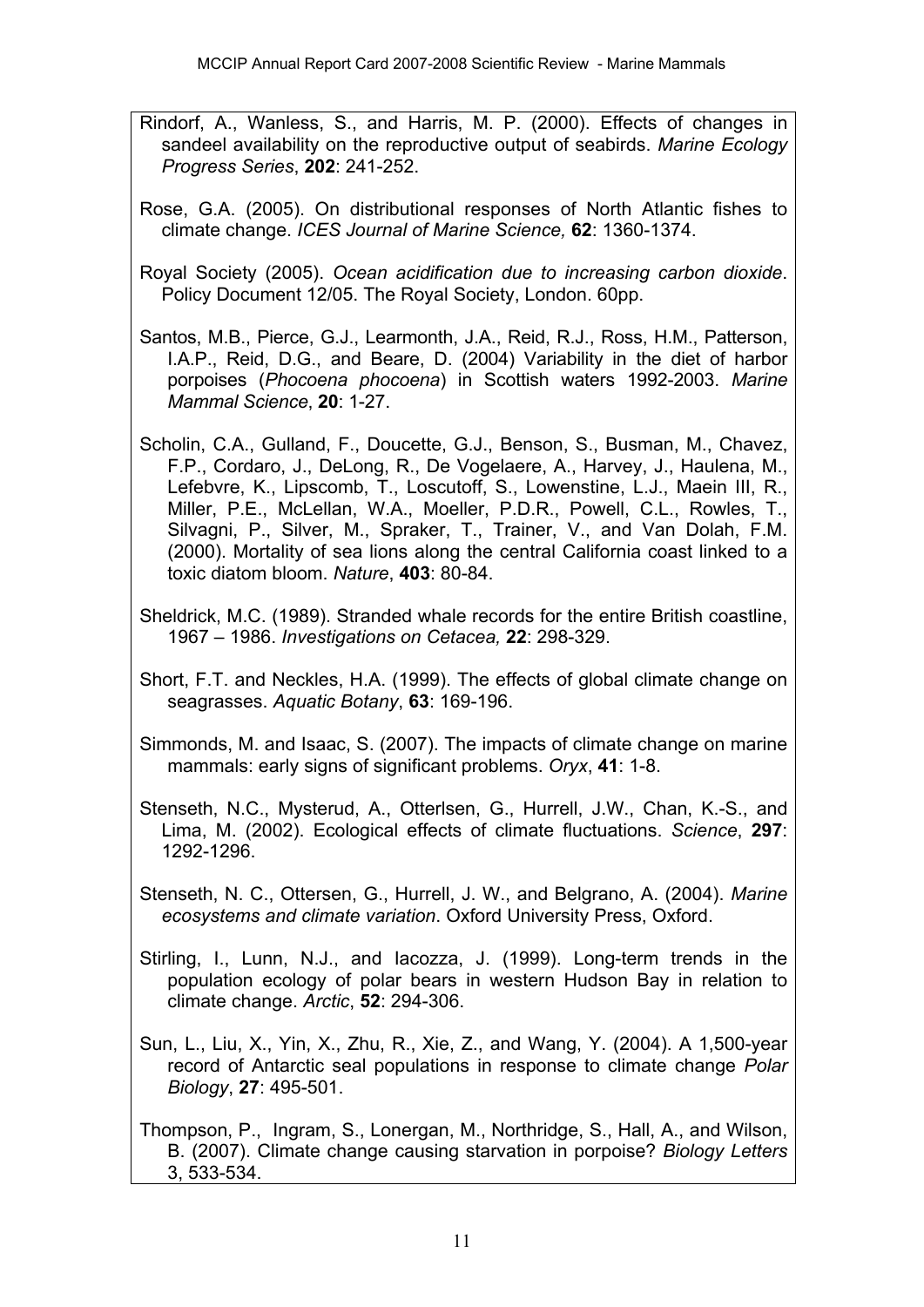- Rindorf, A., Wanless, S., and Harris, M. P. (2000). Effects of changes in sandeel availability on the reproductive output of seabirds. *Marine Ecology Progress Series*, **202**: 241-252.
- Rose, G.A. (2005). On distributional responses of North Atlantic fishes to climate change. *ICES Journal of Marine Science,* **62**: 1360-1374.
- Royal Society (2005). *Ocean acidification due to increasing carbon dioxide*. Policy Document 12/05. The Royal Society, London. 60pp.
- Santos, M.B., Pierce, G.J., Learmonth, J.A., Reid, R.J., Ross, H.M., Patterson, I.A.P., Reid, D.G., and Beare, D. (2004) Variability in the diet of harbor porpoises (*Phocoena phocoena*) in Scottish waters 1992-2003. *Marine Mammal Science*, **20**: 1-27.
- Scholin, C.A., Gulland, F., Doucette, G.J., Benson, S., Busman, M., Chavez, F.P., Cordaro, J., DeLong, R., De Vogelaere, A., Harvey, J., Haulena, M., Lefebvre, K., Lipscomb, T., Loscutoff, S., Lowenstine, L.J., Maein III, R., Miller, P.E., McLellan, W.A., Moeller, P.D.R., Powell, C.L., Rowles, T., Silvagni, P., Silver, M., Spraker, T., Trainer, V., and Van Dolah, F.M. (2000). Mortality of sea lions along the central California coast linked to a toxic diatom bloom. *Nature*, **403**: 80-84.
- Sheldrick, M.C. (1989). Stranded whale records for the entire British coastline, 1967 – 1986. *Investigations on Cetacea,* **22**: 298-329.
- Short, F.T. and Neckles, H.A. (1999). The effects of global climate change on seagrasses. *Aquatic Botany*, **63**: 169-196.
- Simmonds, M. and Isaac, S. (2007). The impacts of climate change on marine mammals: early signs of significant problems. *Oryx*, **41**: 1-8.
- Stenseth, N.C., Mysterud, A., Otterlsen, G., Hurrell, J.W., Chan, K.-S., and Lima, M. (2002). Ecological effects of climate fluctuations. *Science*, **297**: 1292-1296.
- Stenseth, N. C., Ottersen, G., Hurrell, J. W., and Belgrano, A. (2004). *Marine ecosystems and climate variation*. Oxford University Press, Oxford.
- Stirling, I., Lunn, N.J., and Iacozza, J. (1999). Long-term trends in the population ecology of polar bears in western Hudson Bay in relation to climate change. *Arctic*, **52**: 294-306.
- Sun, L., Liu, X., Yin, X., Zhu, R., Xie, Z., and Wang, Y. (2004). A 1,500-year record of Antarctic seal populations in response to climate change *Polar Biology*, **27**: 495-501.

Thompson, P., Ingram, S., Lonergan, M., Northridge, S., Hall, A., and Wilson, B. (2007). Climate change causing starvation in porpoise? *Biology Letters*  3, 533-534.